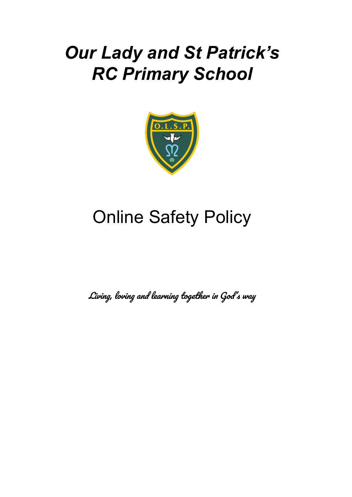# *Our Lady and St Patrick's RC Primary School*



# Online Safety Policy

Living, loving and learning together in God' <sup>s</sup> way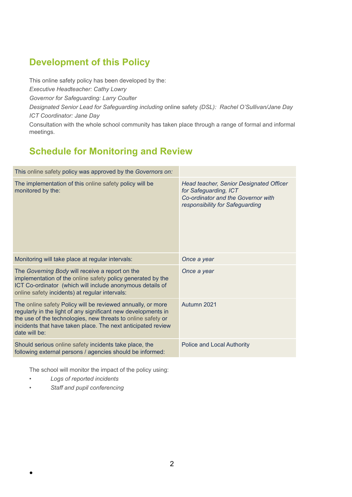# **Development of this Policy**

This online safety policy has been developed by the: *Executive Headteacher: Cathy Lowry Governor for Safeguarding: Larry Coulter Designated Senior Lead for Safeguarding including* online safety *(DSL): Rachel O'Sullivan/Jane Day ICT Coordinator: Jane Day* Consultation with the whole school community has taken place through a range of formal and informal meetings.

# **Schedule for Monitoring and Review**

| This online safety policy was approved by the Governors on:                                                                                                                                                                                                                   |                                                                                                                                           |
|-------------------------------------------------------------------------------------------------------------------------------------------------------------------------------------------------------------------------------------------------------------------------------|-------------------------------------------------------------------------------------------------------------------------------------------|
| The implementation of this online safety policy will be<br>monitored by the:                                                                                                                                                                                                  | Head teacher, Senior Designated Officer<br>for Safeguarding, ICT<br>Co-ordinator and the Governor with<br>responsibility for Safeguarding |
| Monitoring will take place at regular intervals:                                                                                                                                                                                                                              | Once a year                                                                                                                               |
| The Governing Body will receive a report on the<br>implementation of the online safety policy generated by the<br>ICT Co-ordinator (which will include anonymous details of<br>online safety incidents) at regular intervals:                                                 | Once a year                                                                                                                               |
| The online safety Policy will be reviewed annually, or more<br>regularly in the light of any significant new developments in<br>the use of the technologies, new threats to online safety or<br>incidents that have taken place. The next anticipated review<br>date will be: | Autumn 2021                                                                                                                               |
| Should serious online safety incidents take place, the<br>following external persons / agencies should be informed:                                                                                                                                                           | <b>Police and Local Authority</b>                                                                                                         |
|                                                                                                                                                                                                                                                                               |                                                                                                                                           |

The school will monitor the impact of the policy using:

*• Logs of reported incidents*

●

*• Staff and pupil conferencing*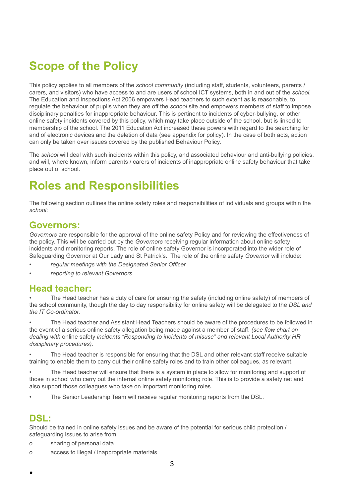# **Scope of the Policy**

This policy applies to all members of the *school community* (including staff, students, volunteers, parents / carers, and visitors) who have access to and are users of school ICT systems, both in and out of the *school.* The Education and Inspections Act 2006 empowers Head teachers to such extent as is reasonable, to regulate the behaviour of pupils when they are off the *school* site and empowers members of staff to impose disciplinary penalties for inappropriate behaviour. This is pertinent to incidents of cyber-bullying, or other online safety incidents covered by this policy, which may take place outside of the school, but is linked to membership of the school. The 2011 Education Act increased these powers with regard to the searching for and of electronic devices and the deletion of data (see appendix for policy). In the case of both acts, action can only be taken over issues covered by the published Behaviour Policy.

The *school* will deal with such incidents within this policy, and associated behaviour and anti-bullying policies, and will, where known, inform parents / carers of incidents of inappropriate online safety behaviour that take place out of school.

# **Roles and Responsibilities**

The following section outlines the online safety roles and responsibilities of individuals and groups within the *school*:

# **Governors:**

*Governors* are responsible for the approval of the online safety Policy and for reviewing the effectiveness of the policy. This will be carried out by the *Governors* receiving regular information about online safety incidents and monitoring reports. The role of online safety Governor is incorporated into the wider role of Safeguarding Governor at Our Lady and St Patrick's. The role of the online safety *Governor* will include:

- *• regular meetings with the Designated Senior Officer*
- *• reporting to relevant Governors*

### **Head teacher:**

The Head teacher has a duty of care for ensuring the safety (including online safety) of members of the school community, though the day to day responsibility for online safety will be delegated to the *DSL and the IT Co-ordinator.*

• The Head teacher and Assistant Head Teachers should be aware of the procedures to be followed in the event of a serious online safety allegation being made against a member of staff. *(see flow chart on dealing with* online safety *incidents "Responding to incidents of misuse" and relevant Local Authority HR disciplinary procedures).*

*•* The Head teacher is responsible for ensuring that the DSL and other relevant staff receive suitable training to enable them to carry out their online safety roles and to train other colleagues, as relevant.

The Head teacher will ensure that there is a system in place to allow for monitoring and support of those in school who carry out the internal online safety monitoring role. This is to provide a safety net and also support those colleagues who take on important monitoring roles.

• The Senior Leadership Team will receive regular monitoring reports from the DSL.

### **DSL:**

●

Should be trained in online safety issues and be aware of the potential for serious child protection / safeguarding issues to arise from:

- o sharing of personal data
- o access to illegal / inappropriate materials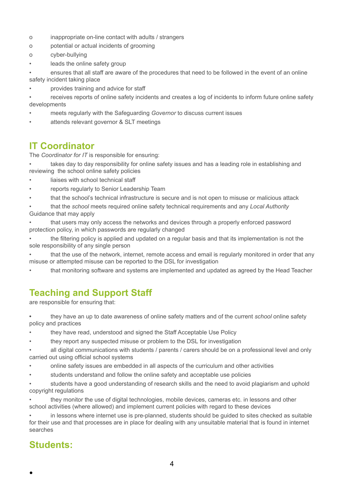- o inappropriate on-line contact with adults / strangers
- o potential or actual incidents of grooming
- o cyber-bullying
- leads the online safety group

• ensures that all staff are aware of the procedures that need to be followed in the event of an online safety incident taking place

• provides training and advice for staff

• receives reports of online safety incidents and creates a log of incidents to inform future online safety developments

- meets regularly with the Safeguarding *Governor* to discuss current issues
- attends relevant governor & SLT meetings

# **IT Coordinator**

The *Coordinator for IT* is responsible for ensuring:

takes day to day responsibility for online safety issues and has a leading role in establishing and reviewing the school online safety policies

- liaises with school technical staff
- reports regularly to Senior Leadership Team
- that the school's technical infrastructure is secure and is not open to misuse or malicious attack
- that the *school* meets required online safety technical requirements and any *Local Authority* Guidance that may apply

• that users may only access the networks and devices through a properly enforced password protection policy, in which passwords are regularly changed

• the filtering policy is applied and updated on a regular basis and that its implementation is not the sole responsibility of any single person

that the use of the network, internet, remote access and email is regularly monitored in order that any misuse or attempted misuse can be reported to the DSL for investigation

• that monitoring software and systems are implemented and updated as agreed by the Head Teacher

# **Teaching and Support Staff**

are responsible for ensuring that:

**•** they have an up to date awareness of online safety matters and of the current *school* online safety policy and practices

- they have read, understood and signed the Staff Acceptable Use Policy
- they report any suspected misuse or problem to the DSL for investigation

• all digital communications with students / parents / carers should be on a professional level and only carried out using official school systems

- online safety issues are embedded in all aspects of the curriculum and other activities
- students understand and follow the online safety and acceptable use policies

• students have a good understanding of research skills and the need to avoid plagiarism and uphold copyright regulations

• they monitor the use of digital technologies, mobile devices, cameras etc. in lessons and other school activities (where allowed) and implement current policies with regard to these devices

*•* in lessons where internet use is pre-planned, students should be guided to sites checked as suitable for their use and that processes are in place for dealing with any unsuitable material that is found in internet searches

# **Students:**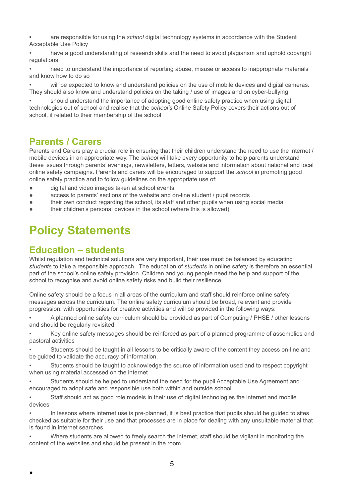**•** are responsible for using the *school* digital technology systems in accordance with the Student Acceptable Use Policy

• have a good understanding of research skills and the need to avoid plagiarism and uphold copyright regulations

• need to understand the importance of reporting abuse, misuse or access to inappropriate materials and know how to do so

will be expected to know and understand policies on the use of mobile devices and digital cameras. They should also know and understand policies on the taking / use of images and on cyber-bullying.

• should understand the importance of adopting good online safety practice when using digital technologies out of school and realise that the *school's* Online Safety Policy covers their actions out of school, if related to their membership of the school

# **Parents / Carers**

Parents and Carers play a crucial role in ensuring that their children understand the need to use the internet / mobile devices in an appropriate way. The *school* will take every opportunity to help parents understand these issues through parents' evenings, newsletters, letters, website and information about national and local online safety campaigns. Parents and carers will be encouraged to support the *school* in promoting good online safety practice and to follow guidelines on the appropriate use of:

- digital and video images taken at school events
- access to parents' sections of the website and on-line student / pupil records
- their own conduct regarding the school, its staff and other pupils when using social media
- their children's personal devices in the school (where this is allowed)

# **Policy Statements**

### **Education – students**

●

Whilst regulation and technical solutions are very important, their use must be balanced by educating *students* to take a responsible approach. The education of *students* in online safety is therefore an essential part of the school's online safety provision. Children and young people need the help and support of the school to recognise and avoid online safety risks and build their resilience.

Online safety should be a focus in all areas of the curriculum and staff should reinforce online safety messages across the curriculum. The online safety curriculum should be broad, relevant and provide progression, with opportunities for creative activities and will be provided in the following ways:

**•** A planned online safety curriculum should be provided as part of Computing / PHSE / other lessons and should be regularly revisited

• Key online safety messages should be reinforced as part of a planned programme of assemblies and pastoral activities

• Students should be taught in all lessons to be critically aware of the content they access on-line and be guided to validate the accuracy of information.

• Students should be taught to acknowledge the source of information used and to respect copyright when using material accessed on the internet

*•* Students should be helped to understand the need for the pupil Acceptable Use Agreement and encouraged to adopt safe and responsible use both within and outside school

*•* Staff should act as good role models in their use of digital technologies the internet and mobile devices

*•* In lessons where internet use is pre-planned, it is best practice that pupils should be guided to sites checked as suitable for their use and that processes are in place for dealing with any unsuitable material that is found in internet searches.

*•* Where students are allowed to freely search the internet, staff should be vigilant in monitoring the content of the websites and should be present in the room.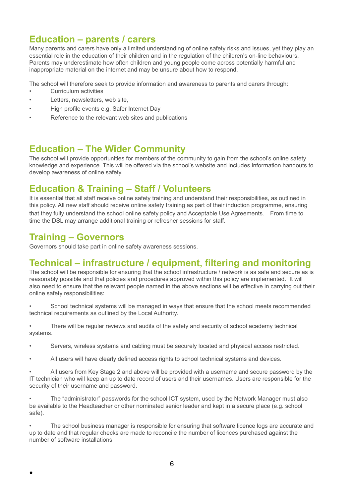# **Education – parents / carers**

Many parents and carers have only a limited understanding of online safety risks and issues, yet they play an essential role in the education of their children and in the regulation of the children's on-line behaviours. Parents may underestimate how often children and young people come across potentially harmful and inappropriate material on the internet and may be unsure about how to respond.

The school will therefore seek to provide information and awareness to parents and carers through:

- *•* Curriculum activities
- Letters, newsletters, web site.
- High profile events e.g. Safer Internet Day
- Reference to the relevant web sites and publications

# **Education – The Wider Community**

The school will provide opportunities for members of the community to gain from the school's online safety knowledge and experience. This will be offered via the school's website and includes information handouts to develop awareness of online safety.

### **Education & Training – Staff / Volunteers**

It is essential that all staff receive online safety training and understand their responsibilities, as outlined in this policy. All new staff should receive online safety training as part of their induction programme, ensuring that they fully understand the school online safety policy and Acceptable Use Agreements. From time to time the DSL may arrange additional training or refresher sessions for staff.

# **Training – Governors**

●

Governors should take part in online safety awareness sessions.

# **Technical – infrastructure / equipment, filtering and monitoring**

The school will be responsible for ensuring that the school infrastructure / network is as safe and secure as is reasonably possible and that policies and procedures approved within this policy are implemented. It will also need to ensure that the relevant people named in the above sections will be effective in carrying out their online safety responsibilities:

• School technical systems will be managed in ways that ensure that the school meets recommended technical requirements as outlined by the Local Authority.

• There will be regular reviews and audits of the safety and security of school academy technical systems.

- Servers, wireless systems and cabling must be securely located and physical access restricted.
- All users will have clearly defined access rights to school technical systems and devices.

• All users from Key Stage 2 and above will be provided with a username and secure password by the IT technician who will keep an up to date record of users and their usernames. Users are responsible for the security of their username and password.

• The "administrator" passwords for the school ICT system, used by the Network Manager must also be available to the Headteacher or other nominated senior leader and kept in a secure place (e.g. school safe).

The school business manager is responsible for ensuring that software licence logs are accurate and up to date and that regular checks are made to reconcile the number of licences purchased against the number of software installations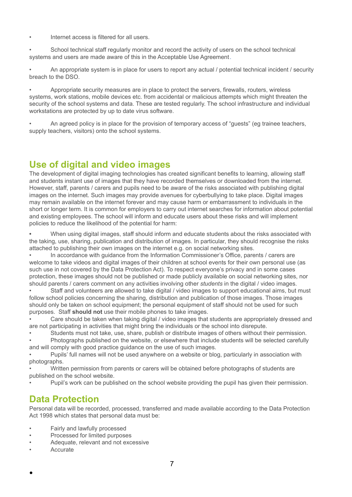• Internet access is filtered for all users.

• School technical staff regularly monitor and record the activity of users on the school technical systems and users are made aware of this in the Acceptable Use Agreement.

• An appropriate system is in place for users to report any actual / potential technical incident / security breach to the DSO.

• Appropriate security measures are in place to protect the servers, firewalls, routers, wireless systems, work stations, mobile devices etc. from accidental or malicious attempts which might threaten the security of the school systems and data. These are tested regularly. The school infrastructure and individual workstations are protected by up to date virus software.

• An agreed policy is in place for the provision of temporary access of "guests" (eg trainee teachers, supply teachers, visitors) onto the school systems.

# **Use of digital and video images**

The development of digital imaging technologies has created significant benefits to learning, allowing staff and students instant use of images that they have recorded themselves or downloaded from the internet. However, staff, parents / carers and pupils need to be aware of the risks associated with publishing digital images on the internet. Such images may provide avenues for cyberbullying to take place. Digital images may remain available on the internet forever and may cause harm or embarrassment to individuals in the short or longer term. It is common for employers to carry out internet searches for information about potential and existing employees. The school will inform and educate users about these risks and will implement policies to reduce the likelihood of the potential for harm:

**•** When using digital images, staff should inform and educate students about the risks associated with the taking, use, sharing, publication and distribution of images. In particular, they should recognise the risks attached to publishing their own images on the internet e.g. on social networking sites.

• In accordance with guidance from the Information Commissioner's Office, parents / carers are welcome to take videos and digital images of their children at school events for their own personal use (as such use in not covered by the Data Protection Act). To respect everyone's privacy and in some cases protection, these images should not be published or made publicly available on social networking sites, nor should parents / carers comment on any activities involving other *students* in the digital / video images.

• Staff and volunteers are allowed to take digital / video images to support educational aims, but must follow school policies concerning the sharing, distribution and publication of those images. Those images should only be taken on school equipment; the personal equipment of staff should not be used for such purposes. Staff **should not** use their mobile phones to take images.

• Care should be taken when taking digital / video images that students are appropriately dressed and are not participating in activities that might bring the individuals or the school into disrepute.

• Students must not take, use, share, publish or distribute images of others without their permission.

• Photographs published on the website, or elsewhere that include students will be selected carefully and will comply with good practice guidance on the use of such images.

• Pupils' full names will not be used anywhere on a website or blog, particularly in association with photographs.

• Written permission from parents or carers will be obtained before photographs of students are published on the school website.

• Pupil's work can be published on the school website providing the pupil has given their permission.

# **Data Protection**

Personal data will be recorded, processed, transferred and made available according to the Data Protection Act 1998 which states that personal data must be:

- Fairly and lawfully processed
- Processed for limited purposes
- Adequate, relevant and not excessive
- **Accurate**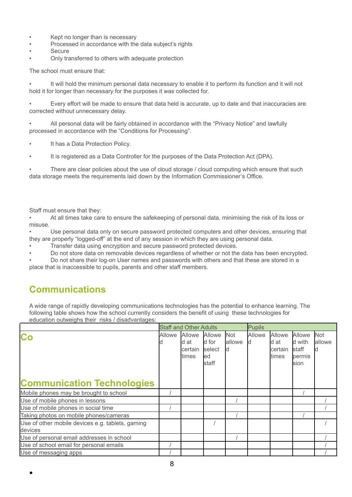- Kept no longer than is necessary
- Processed in accordance with the data subject's rights
- **Secure**
- Only transferred to others with adequate protection

The school must ensure that:

It will hold the minimum personal data necessary to enable it to perform its function and it will not hold it for longer than necessary for the purposes it was collected for.

• Every effort will be made to ensure that data held is accurate, up to date and that inaccuracies are corrected without unnecessary delay.

• All personal data will be fairly obtained in accordance with the "Privacy Notice" and lawfully processed in accordance with the "Conditions for Processing".

- It has a Data Protection Policy.
- It is registered as a Data Controller for the purposes of the Data Protection Act (DPA).

There are clear policies about the use of cloud storage / cloud computing which ensure that such data storage meets the requirements laid down by the Information Commissioner's Office.

Staff must ensure that they:

• At all times take care to ensure the safekeeping of personal data, minimising the risk of its loss or misuse.

• Use personal data only on secure password protected computers and other devices, ensuring that they are properly "logged-off" at the end of any session in which they are using personal data.

• Transfer data using encryption and secure password protected devices.

• Do not store data on removable devices regardless of whether or not the data has been encrypted.

• Do not share their log-on User names and passwords with others and that these are stored in a place that is inaccessible to pupils, parents and other staff members.

# **Communications**

●

A wide range of rapidly developing communications technologies has the potential to enhance learning. The following table shows how the school currently considers the benefit of using these technologies for education outweighs their risks / disadvantages:

|                                                             |        | <b>Staff and Other Adults</b>      |                                            |                       | <b>Pupils</b> |                                    |                                                      |                      |
|-------------------------------------------------------------|--------|------------------------------------|--------------------------------------------|-----------------------|---------------|------------------------------------|------------------------------------------------------|----------------------|
| Co<br><b>Communication Technologies</b>                     | Allowe | Allowe<br>d at<br>certain<br>times | Allowe<br>d for<br>select<br>led<br>lstaff | <b>Not</b><br>lallowe | Allowe        | Allowe<br>d at<br>certain<br>times | Allowe<br>d with<br><b>I</b> staff<br>permis<br>sion | <b>Not</b><br>allowe |
| Mobile phones may be brought to school                      |        |                                    |                                            |                       |               |                                    |                                                      |                      |
| Use of mobile phones in lessons                             |        |                                    |                                            |                       |               |                                    |                                                      |                      |
| Use of mobile phones in social time                         |        |                                    |                                            |                       |               |                                    |                                                      |                      |
| Taking photos on mobile phones/cameras                      |        |                                    |                                            |                       |               |                                    |                                                      |                      |
| Use of other mobile devices e.g. tablets, gaming<br>devices |        |                                    |                                            |                       |               |                                    |                                                      |                      |
| Use of personal email addresses in school                   |        |                                    |                                            |                       |               |                                    |                                                      |                      |
| Use of school email for personal emails                     |        |                                    |                                            |                       |               |                                    |                                                      |                      |
| Use of messaging apps                                       |        |                                    |                                            |                       |               |                                    |                                                      |                      |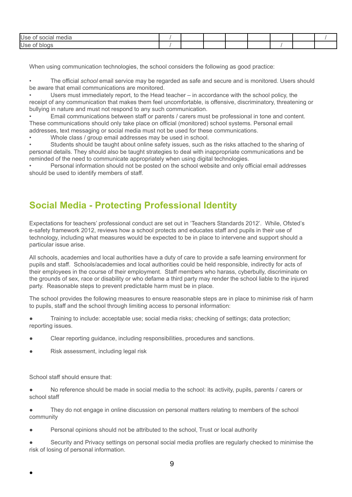| Use<br>$\mathbf{r}$ . The contract of $\mathbf{r}$<br>edia<br>30 JUNIO |  |  |  |  |
|------------------------------------------------------------------------|--|--|--|--|
| Use                                                                    |  |  |  |  |

When using communication technologies, the school considers the following as good practice:

• The official *school* email service may be regarded as safe and secure and is monitored. Users should be aware that email communications are monitored.

• Users must immediately report, to the Head teacher – in accordance with the school policy, the receipt of any communication that makes them feel uncomfortable, is offensive, discriminatory, threatening or bullying in nature and must not respond to any such communication.

• Email communications between staff or parents / carers must be professional in tone and content. These communications should only take place on official (monitored) school systems. Personal email addresses, text messaging or social media must not be used for these communications.

Whole class / group email addresses may be used in school.

Students should be taught about online safety issues, such as the risks attached to the sharing of personal details. They should also be taught strategies to deal with inappropriate communications and be reminded of the need to communicate appropriately when using digital technologies.

• Personal information should not be posted on the school website and only official email addresses should be used to identify members of staff.

# **Social Media - Protecting Professional Identity**

Expectations for teachers' professional conduct are set out in 'Teachers Standards 2012'. While, Ofsted's e-safety framework 2012, reviews how a school protects and educates staff and pupils in their use of technology, including what measures would be expected to be in place to intervene and support should a particular issue arise.

All schools, academies and local authorities have a duty of care to provide a safe learning environment for pupils and staff. Schools/academies and local authorities could be held responsible, indirectly for acts of their employees in the course of their employment. Staff members who harass, cyberbully, discriminate on the grounds of sex, race or disability or who defame a third party may render the school liable to the injured party. Reasonable steps to prevent predictable harm must be in place.

The school provides the following measures to ensure reasonable steps are in place to minimise risk of harm to pupils, staff and the school through limiting access to personal information:

Training to include: acceptable use; social media risks; checking of settings; data protection; reporting issues.

- Clear reporting guidance, including responsibilities, procedures and sanctions.
- Risk assessment, including legal risk

School staff should ensure that:

●

No reference should be made in social media to the school: its activity, pupils, parents / carers or school staff

They do not engage in online discussion on personal matters relating to members of the school community

Personal opinions should not be attributed to the school, Trust or local authority

Security and Privacy settings on personal social media profiles are regularly checked to minimise the risk of losing of personal information.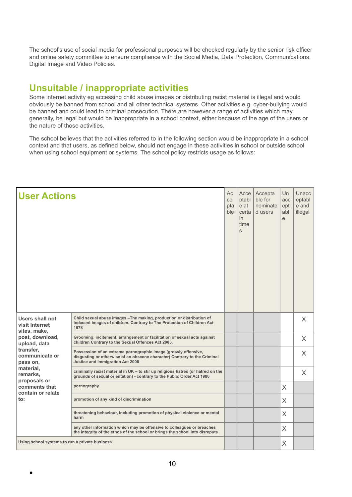The school's use of social media for professional purposes will be checked regularly by the senior risk officer and online safety committee to ensure compliance with the Social Media, Data Protection, Communications, Digital Image and Video Policies.

# **Unsuitable / inappropriate activities**

Some internet activity eg accessing child abuse images or distributing racist material is illegal and would obviously be banned from school and all other technical systems. Other activities e.g. cyber-bullying would be banned and could lead to criminal prosecution. There are however a range of activities which may, generally, be legal but would be inappropriate in a school context, either because of the age of the users or the nature of those activities.

The school believes that the activities referred to in the following section would be inappropriate in a school context and that users, as defined below, should not engage in these activities in school or outside school when using school equipment or systems. The school policy restricts usage as follows:

| <b>User Actions</b>                                      |                                                                                                                                                                                  | Aс<br>ce<br>pta<br>ble | Acce<br>ptabl<br>e at<br>certa<br><i>in</i><br>time<br>S | Accepta<br>ble for<br>nominate<br>d users | Un<br>acc<br>ept<br>abl<br>e | Unacc<br>eptabl<br>e and<br>illegal |
|----------------------------------------------------------|----------------------------------------------------------------------------------------------------------------------------------------------------------------------------------|------------------------|----------------------------------------------------------|-------------------------------------------|------------------------------|-------------------------------------|
| <b>Users shall not</b><br>visit Internet<br>sites, make, | Child sexual abuse images - The making, production or distribution of<br>indecent images of children. Contrary to The Protection of Children Act<br>1978                         |                        |                                                          |                                           |                              | X                                   |
| post, download,<br>upload, data                          | Grooming, incitement, arrangement or facilitation of sexual acts against<br>children Contrary to the Sexual Offences Act 2003.                                                   |                        |                                                          |                                           |                              | X                                   |
| transfer,<br>communicate or<br>pass on,                  | Possession of an extreme pornographic image (grossly offensive,<br>disgusting or otherwise of an obscene character) Contrary to the Criminal<br>Justice and Immigration Act 2008 |                        |                                                          |                                           |                              | X                                   |
| material,<br>remarks,<br>proposals or                    | criminally racist material in UK - to stir up religious hatred (or hatred on the<br>grounds of sexual orientation) - contrary to the Public Order Act 1986                       |                        |                                                          |                                           |                              | $\times$                            |
| comments that<br>contain or relate                       | pornography                                                                                                                                                                      |                        |                                                          |                                           | $\chi$                       |                                     |
| to:                                                      | promotion of any kind of discrimination                                                                                                                                          |                        |                                                          |                                           | X                            |                                     |
|                                                          | threatening behaviour, including promotion of physical violence or mental<br>harm                                                                                                |                        |                                                          |                                           | X                            |                                     |
|                                                          | any other information which may be offensive to colleagues or breaches<br>the integrity of the ethos of the school or brings the school into disrepute                           |                        |                                                          |                                           | X                            |                                     |
| Using school systems to run a private business           |                                                                                                                                                                                  |                        |                                                          |                                           | $\times$                     |                                     |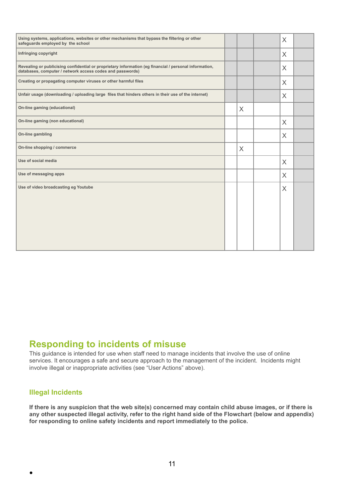| Using systems, applications, websites or other mechanisms that bypass the filtering or other<br>safequards employed by the school                                   |          | $\mathsf{X}$   |  |
|---------------------------------------------------------------------------------------------------------------------------------------------------------------------|----------|----------------|--|
| Infringing copyright                                                                                                                                                |          | $\overline{X}$ |  |
| Revealing or publicising confidential or proprietary information (eg financial / personal information,<br>databases, computer / network access codes and passwords) |          | $\mathsf{X}$   |  |
| Creating or propagating computer viruses or other harmful files                                                                                                     |          | $\chi$         |  |
| Unfair usage (downloading / uploading large files that hinders others in their use of the internet)                                                                 |          | X              |  |
| On-line gaming (educational)                                                                                                                                        | $\times$ |                |  |
| On-line gaming (non educational)                                                                                                                                    |          | $\mathsf{X}$   |  |
| On-line gambling                                                                                                                                                    |          | X              |  |
| On-line shopping / commerce                                                                                                                                         | $\times$ |                |  |
| Use of social media                                                                                                                                                 |          | X              |  |
| Use of messaging apps                                                                                                                                               |          | $\mathsf{X}$   |  |
| Use of video broadcasting eg Youtube                                                                                                                                |          | X              |  |
|                                                                                                                                                                     |          |                |  |
|                                                                                                                                                                     |          |                |  |
|                                                                                                                                                                     |          |                |  |
|                                                                                                                                                                     |          |                |  |
|                                                                                                                                                                     |          |                |  |

# **Responding to incidents of misuse**

This guidance is intended for use when staff need to manage incidents that involve the use of online services. It encourages a safe and secure approach to the management of the incident. Incidents might involve illegal or inappropriate activities (see "User Actions" above).

### **Illegal Incidents**

●

If there is any suspicion that the web site(s) concerned may contain child abuse images, or if there is **any other suspected illegal activity, refer to the right hand side of the Flowchart (below and appendix) for responding to online safety incidents and report immediately to the police.**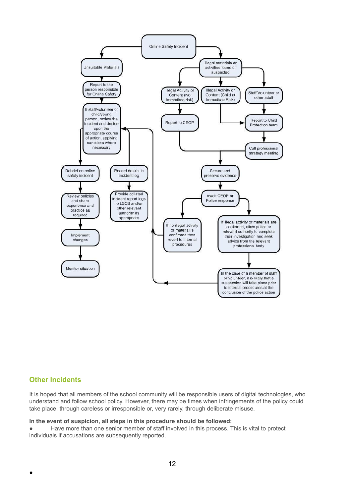

### **Other Incidents**

●

It is hoped that all members of the school community will be responsible users of digital technologies, who understand and follow school policy. However, there may be times when infringements of the policy could take place, through careless or irresponsible or, very rarely, through deliberate misuse.

#### **In the event of suspicion, all steps in this procedure should be followed:**

● Have more than one senior member of staff involved in this process. This is vital to protect individuals if accusations are subsequently reported.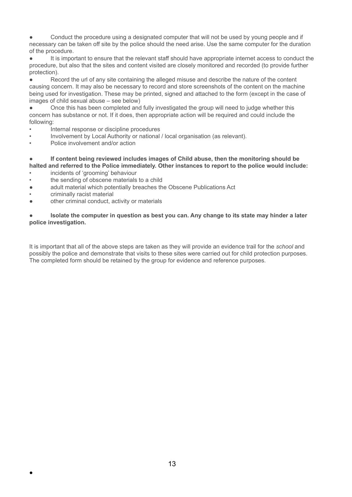● Conduct the procedure using a designated computer that will not be used by young people and if necessary can be taken off site by the police should the need arise. Use the same computer for the duration of the procedure.

It is important to ensure that the relevant staff should have appropriate internet access to conduct the procedure, but also that the sites and content visited are closely monitored and recorded (to provide further protection).

Record the url of any site containing the alleged misuse and describe the nature of the content causing concern. It may also be necessary to record and store screenshots of the content on the machine being used for investigation. These may be printed, signed and attached to the form (except in the case of images of child sexual abuse – see below)

● Once this has been completed and fully investigated the group will need to judge whether this concern has substance or not. If it does, then appropriate action will be required and could include the following:

- Internal response or discipline procedures
- Involvement by Local Authority or national / local organisation (as relevant).
- Police involvement and/or action

#### ● **If content being reviewed includes images of Child abuse, then the monitoring should be halted and referred to the Police immediately. Other instances to report to the police would include:**

- *•* incidents of 'grooming' behaviour
- *•* the sending of obscene materials to a child
- adult material which potentially breaches the Obscene Publications Act
- *•* criminally racist material

●

● other criminal conduct, activity or materials

#### ● **Isolate the computer in question as best you can. Any change to its state may hinder a later police investigation.**

It is important that all of the above steps are taken as they will provide an evidence trail for the *school* and possibly the police and demonstrate that visits to these sites were carried out for child protection purposes. The completed form should be retained by the group for evidence and reference purposes.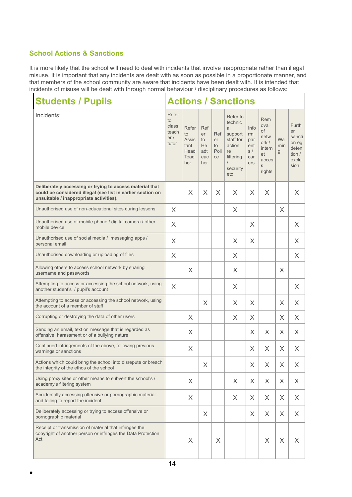### **School Actions & Sanctions**

●

It is more likely that the school will need to deal with incidents that involve inappropriate rather than illegal misuse. It is important that any incidents are dealt with as soon as possible in a proportionate manner, and that members of the school community are aware that incidents have been dealt with. It is intended that incidents of misuse will be dealt with through normal behaviour / disciplinary procedures as follows:

| <b>Students / Pupils</b>                                                                                                                                           | <b>Actions / Sanctions</b>                    |                                                     |                                            |                                      |                                                                                                               |                                              |                                                                                   |                 |                                                                    |
|--------------------------------------------------------------------------------------------------------------------------------------------------------------------|-----------------------------------------------|-----------------------------------------------------|--------------------------------------------|--------------------------------------|---------------------------------------------------------------------------------------------------------------|----------------------------------------------|-----------------------------------------------------------------------------------|-----------------|--------------------------------------------------------------------|
| Incidents:                                                                                                                                                         | Refer<br>to<br>class<br>teach<br>er/<br>tutor | Refer<br>to<br>Assis<br>tant<br>Head<br>Teac<br>her | Ref<br>er<br>to<br>He<br>adt<br>eac<br>her | Ref<br>er<br>to<br>Poli<br><b>ce</b> | Refer to<br>technic<br>al<br>support<br>staff for<br>action<br>re<br>filtering<br>$\prime$<br>security<br>etc | Info<br>rm<br>par<br>ent<br>S/<br>car<br>ers | <b>Rem</b><br>oval<br>of<br>netw<br>ork /<br>intern<br>et<br>acces<br>S<br>rights | Wa<br>rnin<br>g | Furth<br>er<br>sancti<br>on eg<br>deten<br>tion /<br>exclu<br>sion |
| Deliberately accessing or trying to access material that<br>could be considered illegal (see list in earlier section on<br>unsuitable / inappropriate activities). |                                               | X                                                   | $\times$                                   | X                                    | $\times$                                                                                                      | $\times$                                     | $\times$                                                                          |                 | $\times$                                                           |
| Unauthorised use of non-educational sites during lessons                                                                                                           | X                                             |                                                     |                                            |                                      | X                                                                                                             |                                              |                                                                                   | X               |                                                                    |
| Unauthorised use of mobile phone / digital camera / other<br>mobile device                                                                                         | X                                             |                                                     |                                            |                                      |                                                                                                               | $\times$                                     |                                                                                   |                 | X                                                                  |
| Unauthorised use of social media / messaging apps /<br>personal email                                                                                              | X                                             |                                                     |                                            |                                      | X                                                                                                             | X                                            |                                                                                   |                 | X                                                                  |
| Unauthorised downloading or uploading of files                                                                                                                     | X                                             |                                                     |                                            |                                      | X                                                                                                             |                                              |                                                                                   |                 | X                                                                  |
| Allowing others to access school network by sharing<br>username and passwords                                                                                      |                                               | X                                                   |                                            |                                      | $\times$                                                                                                      |                                              |                                                                                   | X               |                                                                    |
| Attempting to access or accessing the school network, using<br>another student's / pupil's account                                                                 | X                                             |                                                     |                                            |                                      | $\times$                                                                                                      |                                              |                                                                                   |                 | X                                                                  |
| Attempting to access or accessing the school network, using<br>the account of a member of staff                                                                    |                                               |                                                     | $\times$                                   |                                      | X                                                                                                             | X                                            |                                                                                   | X               | X                                                                  |
| Corrupting or destroying the data of other users                                                                                                                   |                                               | X                                                   |                                            |                                      | X                                                                                                             | X                                            |                                                                                   | X               | X                                                                  |
| Sending an email, text or message that is regarded as<br>offensive, harassment or of a bullying nature                                                             |                                               | $\times$                                            |                                            |                                      |                                                                                                               | X                                            | X                                                                                 | X               | $\times$                                                           |
| Continued infringements of the above, following previous<br>warnings or sanctions                                                                                  |                                               | $\times$                                            |                                            |                                      |                                                                                                               | $\times$                                     | X                                                                                 | $\times$        | $\times$                                                           |
| Actions which could bring the school into disrepute or breach<br>the integrity of the ethos of the school                                                          |                                               |                                                     | X                                          |                                      |                                                                                                               | X                                            | X                                                                                 | X               | X                                                                  |
| Using proxy sites or other means to subvert the school's /<br>academy's filtering system                                                                           |                                               | X                                                   |                                            |                                      | X                                                                                                             | X                                            | X                                                                                 | X               | X                                                                  |
| Accidentally accessing offensive or pornographic material<br>and failing to report the incident                                                                    |                                               | X                                                   |                                            |                                      | $\times$                                                                                                      | X                                            | X                                                                                 | X               | X                                                                  |
| Deliberately accessing or trying to access offensive or<br>pornographic material                                                                                   |                                               |                                                     | X                                          |                                      |                                                                                                               | X                                            | X                                                                                 | X               | X                                                                  |
| Receipt or transmission of material that infringes the<br>copyright of another person or infringes the Data Protection<br>Act                                      |                                               | X                                                   |                                            | X                                    |                                                                                                               |                                              | X                                                                                 | $\mathsf X$     | X                                                                  |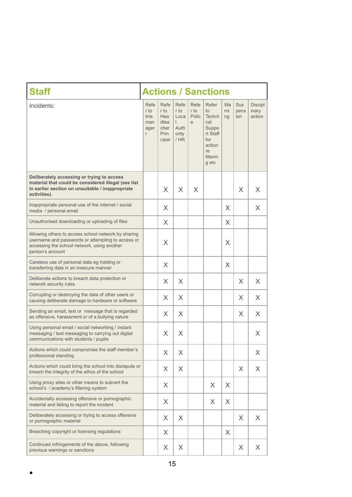| <b>Staff</b>                                                                                                                                                                | <b>Actions / Sanctions</b>               |                                                      |                                                              |                            |                                                                                               |                 |                    |                                   |
|-----------------------------------------------------------------------------------------------------------------------------------------------------------------------------|------------------------------------------|------------------------------------------------------|--------------------------------------------------------------|----------------------------|-----------------------------------------------------------------------------------------------|-----------------|--------------------|-----------------------------------|
| Incidents:                                                                                                                                                                  | Refe<br>r to<br>line<br>man<br>ager<br>r | Refe<br>r to<br>Hea<br>dtea<br>cher<br>Prin<br>cipal | Refe<br>r to<br>Loca<br>$\mathbf{L}$<br>Auth<br>ority<br>/HR | Refe<br>r to<br>Polic<br>e | Refer<br>to<br>Techni<br>cal<br>Suppo<br>rt Staff<br>for<br>action<br>re<br>filterin<br>g etc | Wa<br>rni<br>ng | Sus<br>pens<br>ion | <b>Discipl</b><br>inary<br>action |
| Deliberately accessing or trying to access<br>material that could be considered illegal (see list<br>in earlier section on unsuitable / inappropriate<br>activities).       |                                          | X                                                    | $\times$                                                     | X                          |                                                                                               |                 | X                  | X                                 |
| Inappropriate personal use of the internet / social<br>media / personal email                                                                                               |                                          | X                                                    |                                                              |                            |                                                                                               | X               |                    | X                                 |
| Unauthorised downloading or uploading of files                                                                                                                              |                                          | X                                                    |                                                              |                            |                                                                                               | X               |                    |                                   |
| Allowing others to access school network by sharing<br>username and passwords or attempting to access or<br>accessing the school network, using another<br>person's account |                                          | X                                                    |                                                              |                            |                                                                                               | X               |                    |                                   |
| Careless use of personal data eg holding or<br>transferring data in an insecure manner                                                                                      |                                          | X                                                    |                                                              |                            |                                                                                               | $\times$        |                    |                                   |
| Deliberate actions to breach data protection or<br>network security rules                                                                                                   |                                          | X                                                    | X                                                            |                            |                                                                                               |                 | X                  | X                                 |
| Corrupting or destroying the data of other users or<br>causing deliberate damage to hardware or software                                                                    |                                          | $\times$                                             | $\times$                                                     |                            |                                                                                               |                 | X                  | X                                 |
| Sending an email, text or message that is regarded<br>as offensive, harassment or of a bullying nature                                                                      |                                          | X                                                    | $\times$                                                     |                            |                                                                                               |                 | X.                 | X                                 |
| Using personal email / social networking / instant<br>messaging / text messaging to carrying out digital<br>communications with students / pupils                           |                                          | X                                                    | $\times$                                                     |                            |                                                                                               |                 |                    | X                                 |
| Actions which could compromise the staff member's<br>professional standing                                                                                                  |                                          | X                                                    | X                                                            |                            |                                                                                               |                 |                    | X                                 |
| Actions which could bring the school into disrepute or<br>breach the integrity of the ethos of the school                                                                   |                                          | X                                                    | $\times$                                                     |                            |                                                                                               |                 | X                  | X                                 |
| Using proxy sites or other means to subvert the<br>school's / academy's filtering system                                                                                    |                                          | X                                                    |                                                              |                            | X                                                                                             | X               |                    |                                   |
| Accidentally accessing offensive or pornographic<br>material and failing to report the incident                                                                             |                                          | X                                                    |                                                              |                            | X                                                                                             | X               |                    |                                   |
| Deliberately accessing or trying to access offensive<br>or pornographic material                                                                                            |                                          | X                                                    | $\times$                                                     |                            |                                                                                               |                 | X                  | X                                 |
| Breaching copyright or licensing regulations                                                                                                                                |                                          | $\times$                                             |                                                              |                            |                                                                                               | X               |                    |                                   |
| Continued infringements of the above, following<br>previous warnings or sanctions                                                                                           |                                          | X                                                    | X                                                            |                            |                                                                                               |                 | X                  | X                                 |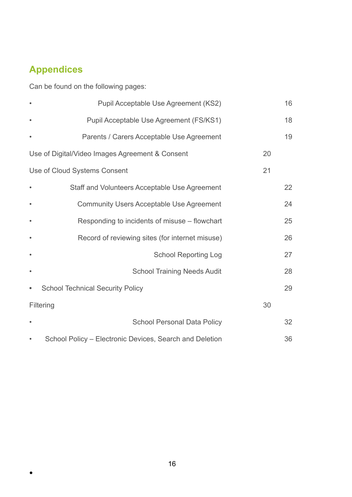# **Appendices**

**。** 

Can be found on the following pages:

|           | Pupil Acceptable Use Agreement (KS2)                    |    | 16 |
|-----------|---------------------------------------------------------|----|----|
|           | Pupil Acceptable Use Agreement (FS/KS1)                 |    | 18 |
|           | Parents / Carers Acceptable Use Agreement               |    | 19 |
|           | Use of Digital/Video Images Agreement & Consent         | 20 |    |
|           | Use of Cloud Systems Consent                            | 21 |    |
| $\bullet$ | Staff and Volunteers Acceptable Use Agreement           |    | 22 |
|           | <b>Community Users Acceptable Use Agreement</b>         |    | 24 |
|           | Responding to incidents of misuse - flowchart           |    | 25 |
|           | Record of reviewing sites (for internet misuse)         |    | 26 |
|           | <b>School Reporting Log</b>                             |    | 27 |
|           | <b>School Training Needs Audit</b>                      |    | 28 |
| $\bullet$ | <b>School Technical Security Policy</b>                 |    | 29 |
|           | Filtering                                               | 30 |    |
| $\bullet$ | <b>School Personal Data Policy</b>                      |    | 32 |
|           | School Policy - Electronic Devices, Search and Deletion |    | 36 |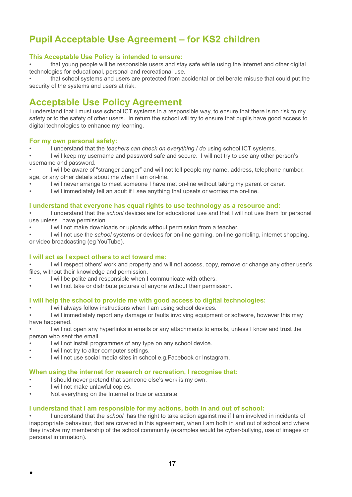# **Pupil Acceptable Use Agreement – for KS2 children**

#### **This Acceptable Use Policy is intended to ensure:**

• that young people will be responsible users and stay safe while using the internet and other digital technologies for educational, personal and recreational use.

• that school systems and users are protected from accidental or deliberate misuse that could put the security of the systems and users at risk.

# **Acceptable Use Policy Agreement**

I understand that I must use school ICT systems in a responsible way, to ensure that there is no risk to my safety or to the safety of other users. In return the school will try to ensure that pupils have good access to digital technologies to enhance my learning.

#### **For my own personal safety:**

• I understand that the *teachers can check on everything I do* using school ICT systems.

• I will keep my username and password safe and secure. I will not try to use any other person's username and password.

• I will be aware of "stranger danger" and will not tell people my name, address, telephone number, age, or any other details about me when I am on-line.

- I will never arrange to meet someone I have met on-line without taking my parent or carer.
- I will immediately tell an adult if I see anything that upsets or worries me on-line.

#### **I understand that everyone has equal rights to use technology as a resource and:**

• I understand that the *school* devices are for educational use and that I will not use them for personal use unless I have permission.

- I will not make downloads or uploads without permission from a teacher.
- I will not use the *school* systems or devices for on-line gaming, on-line gambling, internet shopping, or video broadcasting (eg YouTube).

#### **I will act as I expect others to act toward me:**

• I will respect others' work and property and will not access, copy, remove or change any other user's files, without their knowledge and permission.

- I will be polite and responsible when I communicate with others.
- I will not take or distribute pictures of anyone without their permission.

#### **I will help the school to provide me with good access to digital technologies:**

I will always follow instructions when I am using school devices.

• I will immediately report any damage or faults involving equipment or software, however this may have happened.

• I will not open any hyperlinks in emails or any attachments to emails, unless I know and trust the person who sent the email.

- I will not install programmes of any type on any school device.
- I will not try to alter computer settings.
- I will not use social media sites in school e.g.Facebook or Instagram.

#### **When using the internet for research or recreation, I recognise that:**

- I should never pretend that someone else's work is my own.
- I will not make unlawful copies.

●

Not everything on the Internet is true or accurate.

#### **I understand that I am responsible for my actions, both in and out of school:**

• I understand that the *school* has the right to take action against me if I am involved in incidents of inappropriate behaviour, that are covered in this agreement, when I am both in and out of school and where they involve my membership of the school community (examples would be cyber-bullying, use of images or personal information).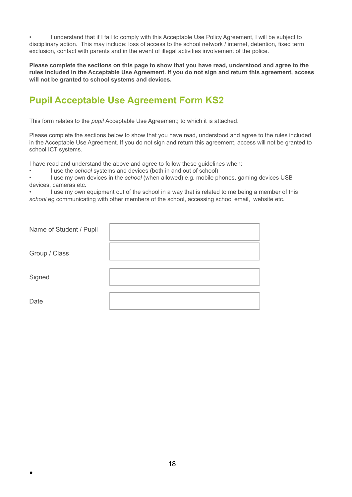• I understand that if I fail to comply with this Acceptable Use Policy Agreement, I will be subject to disciplinary action. This may include: loss of access to the school network / internet, detention, fixed term exclusion, contact with parents and in the event of illegal activities involvement of the police.

**Please complete the sections on this page to show that you have read, understood and agree to the rules included in the Acceptable Use Agreement. If you do not sign and return this agreement, access will not be granted to school systems and devices.**

# **Pupil Acceptable Use Agreement Form KS2**

This form relates to the *pupil* Acceptable Use Agreement; to which it is attached.

Please complete the sections below to show that you have read, understood and agree to the rules included in the Acceptable Use Agreement. If you do not sign and return this agreement, access will not be granted to school ICT systems.

I have read and understand the above and agree to follow these guidelines when:

• I use the *school* systems and devices (both in and out of school)

• I use my own devices in the *school* (when allowed) e.g. mobile phones, gaming devices USB devices, cameras etc.

I use my own equipment out of the school in a way that is related to me being a member of this *school* eg communicating with other members of the school, accessing school email, website etc.

| Name of Student / Pupil |  |
|-------------------------|--|
| Group / Class           |  |
| Signed                  |  |
| Date                    |  |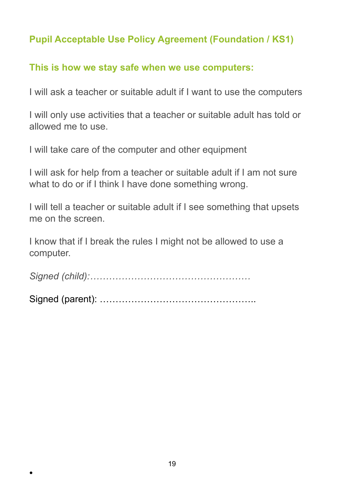# **Pupil Acceptable Use Policy Agreement (Foundation / KS1)**

# **This is how we stay safe when we use computers:**

I will ask a teacher or suitable adult if I want to use the computers

I will only use activities that a teacher or suitable adult has told or allowed me to use.

I will take care of the computer and other equipment

I will ask for help from a teacher or suitable adult if I am not sure what to do or if I think I have done something wrong.

I will tell a teacher or suitable adult if I see something that upsets me on the screen.

I know that if I break the rules I might not be allowed to use a computer.

*Signed (child):……………………………………………*

Signed (parent): …………………………………………..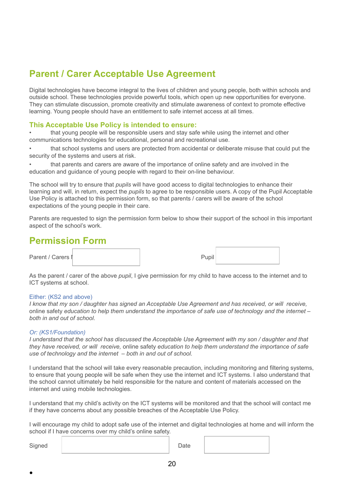# **Parent / Carer Acceptable Use Agreement**

Digital technologies have become integral to the lives of children and young people, both within schools and outside school. These technologies provide powerful tools, which open up new opportunities for everyone. They can stimulate discussion, promote creativity and stimulate awareness of context to promote effective learning. Young people should have an entitlement to safe internet access at all times.

#### **This Acceptable Use Policy is intended to ensure:**

• that young people will be responsible users and stay safe while using the internet and other communications technologies for educational, personal and recreational use.

• that school systems and users are protected from accidental or deliberate misuse that could put the security of the systems and users at risk.

• that parents and carers are aware of the importance of online safety and are involved in the education and guidance of young people with regard to their on-line behaviour.

The school will try to ensure that *pupils* will have good access to digital technologies to enhance their learning and will, in return, expect the *pupils* to agree to be responsible users. A copy of the Pupil Acceptable Use Policy is attached to this permission form, so that parents / carers will be aware of the school expectations of the young people in their care.

Parents are requested to sign the permission form below to show their support of the school in this important aspect of the school's work.

# **Permission Form**

Parent / Carers I

| Pupil |  |
|-------|--|
|       |  |

As the parent / carer of the above *pupil*, I give permission for my child to have access to the internet and to ICT systems at school.

#### Either: (KS2 and above)

I know that my son / daughter has signed an Acceptable Use Agreement and has received, or will receive, online safety *education to help them understand the importance of safe use of technology and the internet – both in and out of school.*

#### *Or: (KS1/Foundation)*

I understand that the school has discussed the Acceptable Use Agreement with my son / daughter and that *they have received, or will receive,* online safety *education to help them understand the importance of safe use of technology and the internet – both in and out of school.*

I understand that the school will take every reasonable precaution, including monitoring and filtering systems, to ensure that young people will be safe when they use the internet and ICT systems. I also understand that the school cannot ultimately be held responsible for the nature and content of materials accessed on the internet and using mobile technologies.

I understand that my child's activity on the ICT systems will be monitored and that the school will contact me if they have concerns about any possible breaches of the Acceptable Use Policy.

I will encourage my child to adopt safe use of the internet and digital technologies at home and will inform the school if I have concerns over my child's online safety.

Signed | Date

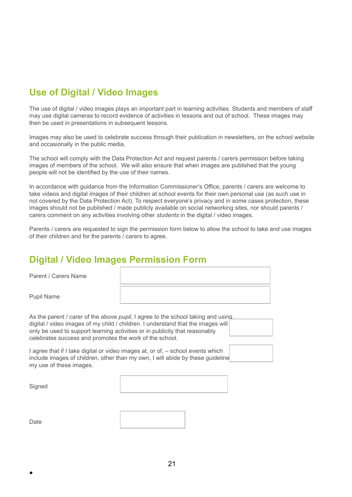# **Use of Digital / Video Images**

The use of digital / video images plays an important part in learning activities. Students and members of staff may use digital cameras to record evidence of activities in lessons and out of school. These images may then be used in presentations in subsequent lessons.

Images may also be used to celebrate success through their publication in newsletters, on the school website and occasionally in the public media,

The school will comply with the Data Protection Act and request parents / carers permission before taking images of members of the school. We will also ensure that when images are published that the young people will not be identified by the use of their names.

In accordance with guidance from the Information Commissioner's Office, parents / carers are welcome to take videos and digital images of their children at school events for their own personal use (as such use in not covered by the Data Protection Act). To respect everyone's privacy and in some cases protection, these images should not be published / made publicly available on social networking sites, nor should parents / carers comment on any activities involving other *students* in the digital / video images.

Parents / carers are requested to sign the permission form below to allow the school to take and use images of their children and for the parents / carers to agree.

# **Digital / Video Images Permission Form**

Parent / Carers Name

Pupil Name

As the parent / carer of the above *pupil*, I agree to the school taking and using digital / video images of my child / children. I understand that the images will only be used to support learning activities or in publicity that reasonably celebrates success and promotes the work of the school.

I agree that if I take digital or video images at, or of, – school events which include images of children, other than my own, I will abide by these guideline my use of these images.

**Signed** 



Date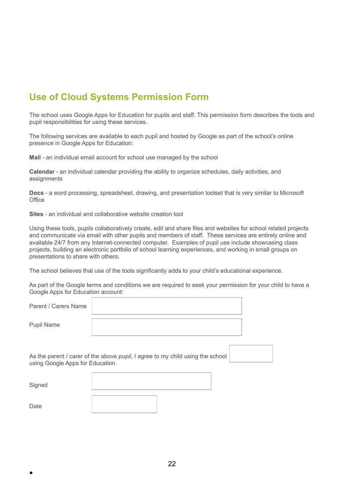# **Use of Cloud Systems Permission Form**

The school uses Google Apps for Education for pupils and staff. This permission form describes the tools and pupil responsibilities for using these services.

The following services are available to each pupil and hosted by Google as part of the school's online presence in Google Apps for Education:

**Mail** - an individual email account for school use managed by the school

**Calendar** - an individual calendar providing the ability to organize schedules, daily activities, and assignments

**Docs** - a word processing, spreadsheet, drawing, and presentation toolset that is very similar to Microsoft **Office** 

**Sites** - an individual and collaborative website creation tool

●

Using these tools, pupils collaboratively create, edit and share files and websites for school related projects and communicate via email with other pupils and members of staff. These services are entirely online and available 24/7 from any Internet-connected computer. Examples of pupil use include showcasing class projects, building an electronic portfolio of school learning experiences, and working in small groups on presentations to share with others.

The school believes that use of the tools significantly adds to your child's educational experience.

As part of the Google terms and conditions we are required to seek your permission for your child to have a Google Apps for Education account:

| Parent / Carers Name             |                                                                                |  |
|----------------------------------|--------------------------------------------------------------------------------|--|
| <b>Pupil Name</b>                |                                                                                |  |
| using Google Apps for Education. | As the parent / carer of the above pupil, I agree to my child using the school |  |
| Signed                           |                                                                                |  |
| Date                             |                                                                                |  |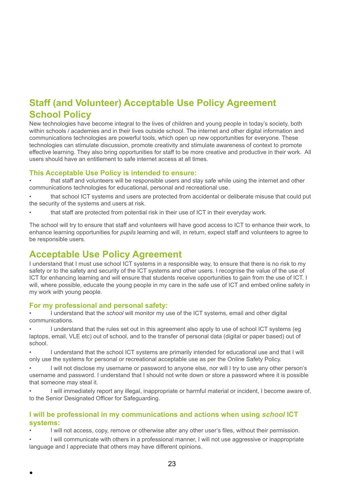# **Staff (and Volunteer) Acceptable Use Policy Agreement School Policy**

New technologies have become integral to the lives of children and young people in today's society, both within schools / academies and in their lives outside school. The internet and other digital information and communications technologies are powerful tools, which open up new opportunities for everyone. These technologies can stimulate discussion, promote creativity and stimulate awareness of context to promote effective learning. They also bring opportunities for staff to be more creative and productive in their work. All users should have an entitlement to safe internet access at all times.

### **This Acceptable Use Policy is intended to ensure:**

• that staff and volunteers will be responsible users and stay safe while using the internet and other communications technologies for educational, personal and recreational use.

that school ICT systems and users are protected from accidental or deliberate misuse that could put the security of the systems and users at risk.

• that staff are protected from potential risk in their use of ICT in their everyday work.

The school will try to ensure that staff and volunteers will have good access to ICT to enhance their work, to enhance learning opportunities for *pupils* learning and will, in return, expect staff and volunteers to agree to be responsible users.

# **Acceptable Use Policy Agreement**

I understand that I must use school ICT systems in a responsible way, to ensure that there is no risk to my safety or to the safety and security of the ICT systems and other users. I recognise the value of the use of ICT for enhancing learning and will ensure that students receive opportunities to gain from the use of ICT. I will, where possible, educate the young people in my care in the safe use of ICT and embed online safety in my work with young people.

### **For my professional and personal safety:**

●

• I understand that the *school* will monitor my use of the ICT systems, email and other digital communications.

• I understand that the rules set out in this agreement also apply to use of school ICT systems (eg laptops, email, VLE etc) out of school, and to the transfer of personal data (digital or paper based) out of school.

• I understand that the school ICT systems are primarily intended for educational use and that I will only use the systems for personal or recreational acceptable use as per the Online Safety Policy.

• I will not disclose my username or password to anyone else, nor will I try to use any other person's username and password. I understand that I should not write down or store a password where it is possible that someone may steal it.

• I will immediately report any illegal, inappropriate or harmful material or incident, I become aware of, to the Senior Designated Officer for Safeguarding.

### **I will be professional in my communications and actions when using** *school* **ICT systems:**

• I will not access, copy, remove or otherwise alter any other user's files, without their permission.

• I will communicate with others in a professional manner, I will not use aggressive or inappropriate language and I appreciate that others may have different opinions.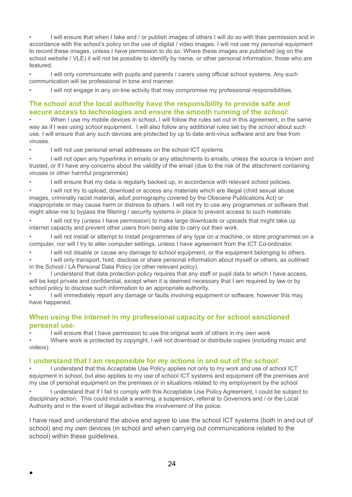• I will ensure that when I take and / or publish images of others I will do so with their permission and in accordance with the school's policy on the use of digital / video images. I will not use my personal equipment to record these images, unless I have permission to do so. Where these images are published (eg on the school website / VLE) it will not be possible to identify by name, or other personal information, those who are featured.

I will only communicate with pupils and parents / carers using official school systems. Any such communication will be professional in tone and manner.

I will not engage in any on-line activity that may compromise my professional responsibilities.

### **The school and the local authority have the responsibility to provide safe and secure access to technologies and ensure the smooth running of the** *school***:**

When I use my mobile devices in school. I will follow the rules set out in this agreement, in the same way as if I was using *school* equipment. I will also follow any additional rules set by the *school* about such use. I will ensure that any such devices are protected by up to date anti-virus software and are free from viruses.

I will not use personal email addresses on the school ICT systems.

• I will not open any hyperlinks in emails or any attachments to emails, unless the source is known and trusted, or if I have any concerns about the validity of the email (due to the risk of the attachment containing viruses or other harmful programmes)

• I will ensure that my data is regularly backed up, in accordance with relevant school policies.

• I will not try to upload, download or access any materials which are illegal (child sexual abuse images, criminally racist material, adult pornography covered by the Obscene Publications Act) or inappropriate or may cause harm or distress to others. I will not try to use any programmes or software that might allow me to bypass the filtering / security systems in place to prevent access to such materials.

I will not try (unless I have permission) to make large downloads or uploads that might take up internet capacity and prevent other users from being able to carry out their work.

• I will not install or attempt to install programmes of any type on a machine, or store programmes on a computer, nor will I try to alter computer settings, unless I have agreement from the ICT Co-ordinator.

I will not disable or cause any damage to school equipment, or the equipment belonging to others.

• I will only transport, hold, disclose or share personal information about myself or others, as outlined in the School / LA Personal Data Policy (or other relevant policy).

I understand that data protection policy requires that any staff or pupil data to which I have access, will be kept private and confidential, except when it is deemed necessary that I am required by law or by school policy to disclose such information to an appropriate authority.

• I will immediately report any damage or faults involving equipment or software, however this may have happened.

### **When using the internet in my professional capacity or for school sanctioned personal use:**

I will ensure that I have permission to use the original work of others in my own work

• Where work is protected by copyright, I will not download or distribute copies (including music and videos).

#### **I understand that I am responsible for my actions in and out of the** *school***:**

• I understand that this Acceptable Use Policy applies not only to my work and use of school ICT equipment in school, but also applies to my use of school ICT systems and equipment off the premises and my use of personal equipment on the premises or in situations related to my employment by the school

• I understand that if I fail to comply with this Acceptable Use Policy Agreement, I could be subject to disciplinary action. This could include a warning, a suspension, referral to Governors and / or the Local Authority and in the event of illegal activities the involvement of the police.

I have read and understand the above and agree to use the school ICT systems (both in and out of school) and my own devices (in school and when carrying out communications related to the school) within these quidelines.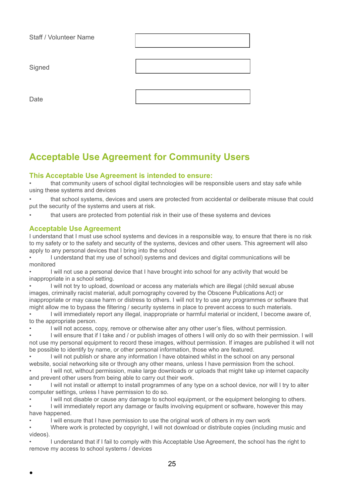| Staff / Volunteer Name |  |
|------------------------|--|
| Signed                 |  |
| Date                   |  |

# **Acceptable Use Agreement for Community Users**

### **This Acceptable Use Agreement is intended to ensure:**

that community users of school digital technologies will be responsible users and stay safe while using these systems and devices

• that school systems, devices and users are protected from accidental or deliberate misuse that could put the security of the systems and users at risk.

• that users are protected from potential risk in their use of these systems and devices

#### **Acceptable Use Agreement**

I understand that I must use school systems and devices in a responsible way, to ensure that there is no risk to my safety or to the safety and security of the systems, devices and other users. This agreement will also apply to any personal devices that I bring into the school

• I understand that my use of school) systems and devices and digital communications will be monitored

• I will not use a personal device that I have brought into school for any activity that would be inappropriate in a school setting.

• I will not try to upload, download or access any materials which are illegal (child sexual abuse images, criminally racist material, adult pornography covered by the Obscene Publications Act) or inappropriate or may cause harm or distress to others. I will not try to use any programmes or software that might allow me to bypass the filtering / security systems in place to prevent access to such materials.

• I will immediately report any illegal, inappropriate or harmful material or incident, I become aware of, to the appropriate person.

• I will not access, copy, remove or otherwise alter any other user's files, without permission.

• I will ensure that if I take and / or publish images of others I will only do so with their permission. I will not use my personal equipment to record these images, without permission. If images are published it will not be possible to identify by name, or other personal information, those who are featured.

I will not publish or share any information I have obtained whilst in the school on any personal website, social networking site or through any other means, unless I have permission from the school.

I will not, without permission, make large downloads or uploads that might take up internet capacity and prevent other users from being able to carry out their work.

• I will not install or attempt to install programmes of any type on a school device, nor will I try to alter computer settings, unless I have permission to do so.

I will not disable or cause any damage to school equipment, or the equipment belonging to others.

• I will immediately report any damage or faults involving equipment or software, however this may have happened.

I will ensure that I have permission to use the original work of others in my own work

• Where work is protected by copyright, I will not download or distribute copies (including music and videos).

• I understand that if I fail to comply with this Acceptable Use Agreement, the school has the right to remove my access to school systems / devices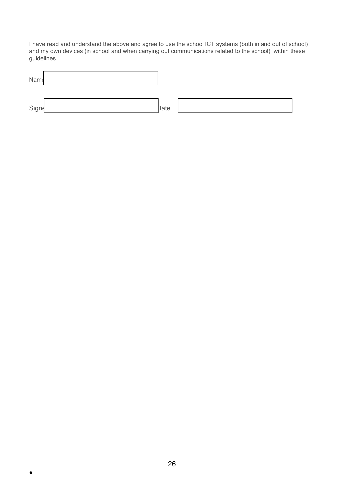I have read and understand the above and agree to use the school ICT systems (both in and out of school) and my own devices (in school and when carrying out communications related to the school) within these guidelines.

| Name  |      |  |
|-------|------|--|
| Signe | bate |  |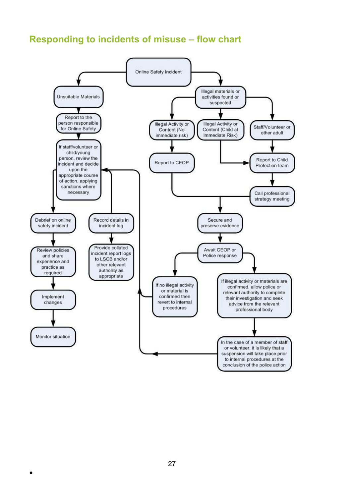# **Responding to incidents of misuse – flow chart**

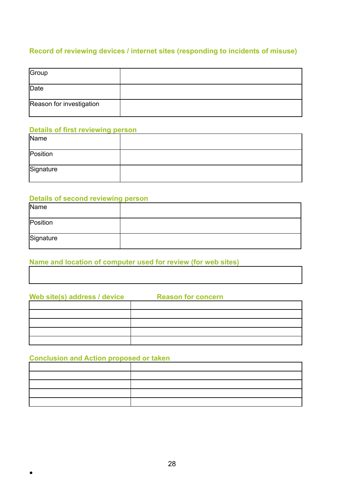### **Record of reviewing devices / internet sites (responding to incidents of misuse)**

| Group                    |  |
|--------------------------|--|
| Date                     |  |
| Reason for investigation |  |

### **Details of first reviewing person**

| Name      |  |
|-----------|--|
| Position  |  |
| Signature |  |

### **Details of second reviewing person**

| Name      |  |
|-----------|--|
| Position  |  |
| Signature |  |

### **Name and location of computer used for review (for web sites)**

| Web site(s) address / device | <b>Reason for concern</b> |
|------------------------------|---------------------------|
|                              |                           |
|                              |                           |
|                              |                           |
|                              |                           |
|                              |                           |

### **Conclusion and Action proposed or taken**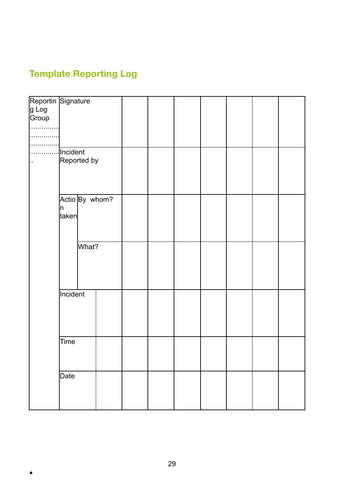# **Template Reporting Log**

 $\bullet$ 

| Reportin Signature<br>g Log<br>Group |          |             |                |  |  |  |  |
|--------------------------------------|----------|-------------|----------------|--|--|--|--|
|                                      |          |             |                |  |  |  |  |
|                                      |          |             |                |  |  |  |  |
|                                      |          |             |                |  |  |  |  |
|                                      |          |             |                |  |  |  |  |
|                                      |          |             |                |  |  |  |  |
| .                                    | Incident |             |                |  |  |  |  |
|                                      |          | Reported by |                |  |  |  |  |
|                                      |          |             |                |  |  |  |  |
|                                      |          |             |                |  |  |  |  |
|                                      |          |             |                |  |  |  |  |
|                                      |          |             |                |  |  |  |  |
|                                      |          |             | Actio By whom? |  |  |  |  |
|                                      | ļη.      |             |                |  |  |  |  |
|                                      | taken    |             |                |  |  |  |  |
|                                      |          |             |                |  |  |  |  |
|                                      |          |             |                |  |  |  |  |
|                                      |          | What?       |                |  |  |  |  |
|                                      |          |             |                |  |  |  |  |
|                                      |          |             |                |  |  |  |  |
|                                      |          |             |                |  |  |  |  |
|                                      |          |             |                |  |  |  |  |
|                                      |          |             |                |  |  |  |  |
|                                      | Incident |             |                |  |  |  |  |
|                                      |          |             |                |  |  |  |  |
|                                      |          |             |                |  |  |  |  |
|                                      |          |             |                |  |  |  |  |
|                                      |          |             |                |  |  |  |  |
|                                      | Time     |             |                |  |  |  |  |
|                                      |          |             |                |  |  |  |  |
|                                      |          |             |                |  |  |  |  |
|                                      |          |             |                |  |  |  |  |
|                                      | Date     |             |                |  |  |  |  |
|                                      |          |             |                |  |  |  |  |
|                                      |          |             |                |  |  |  |  |
|                                      |          |             |                |  |  |  |  |
|                                      |          |             |                |  |  |  |  |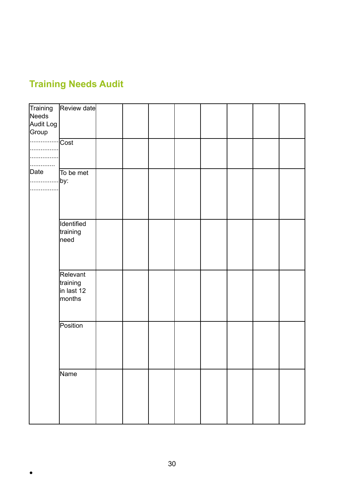# **Training Needs Audit**

| Training<br>Needs<br>Audit Log<br>Group | Review date                                  |  |  |  |  |
|-----------------------------------------|----------------------------------------------|--|--|--|--|
| .                                       | ∵∣Cost                                       |  |  |  |  |
| Date<br>  by:<br>                       | To be met                                    |  |  |  |  |
|                                         | Identified<br>training<br>need               |  |  |  |  |
|                                         | Relevant<br>training<br>in last 12<br>months |  |  |  |  |
|                                         | Position                                     |  |  |  |  |
|                                         | Name                                         |  |  |  |  |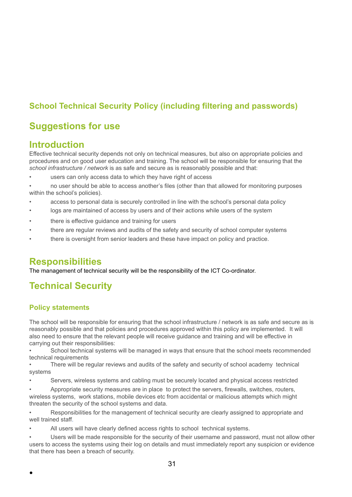# **School Technical Security Policy (including filtering and passwords)**

# **Suggestions for use**

### **Introduction**

Effective technical security depends not only on technical measures, but also on appropriate policies and procedures and on good user education and training. The school will be responsible for ensuring that the *school infrastructure / network* is as safe and secure as is reasonably possible and that:

users can only access data to which they have right of access

• no user should be able to access another's files (other than that allowed for monitoring purposes within the school's policies).

- access to personal data is securely controlled in line with the school's personal data policy
- logs are maintained of access by users and of their actions while users of the system
- there is effective guidance and training for users
- there are regular reviews and audits of the safety and security of school computer systems
- there is oversight from senior leaders and these have impact on policy and practice.

### **Responsibilities**

The management of technical security will be the responsibility of the ICT Co-ordinator.

# **Technical Security**

### **Policy statements**

The school will be responsible for ensuring that the school infrastructure / network is as safe and secure as is reasonably possible and that policies and procedures approved within this policy are implemented. It will also need to ensure that the relevant people will receive guidance and training and will be effective in carrying out their responsibilities:

• School technical systems will be managed in ways that ensure that the school meets recommended technical requirements

There will be regular reviews and audits of the safety and security of school academy technical systems

• Servers, wireless systems and cabling must be securely located and physical access restricted

• Appropriate security measures are in place to protect the servers, firewalls, switches, routers, wireless systems, work stations, mobile devices etc from accidental or malicious attempts which might threaten the security of the school systems and data.

• Responsibilities for the management of technical security are clearly assigned to appropriate and well trained staff.

All users will have clearly defined access rights to school technical systems.

*•* Users will be made responsible for the security of their username and password, must not allow other users to access the systems using their log on details and must immediately report any suspicion or evidence that there has been a breach of security.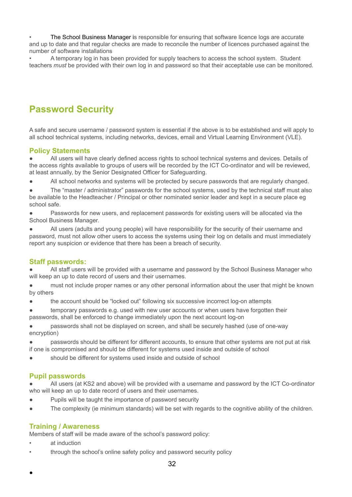*•* The School Business Manager is responsible for ensuring that software licence logs are accurate and up to date and that regular checks are made to reconcile the number of licences purchased against the number of software installations

• A temporary log in has been provided for supply teachers to access the school system. Student teachers *must* be provided with their own log in and password so that their acceptable use can be monitored.

# **Password Security**

A safe and secure username / password system is essential if the above is to be established and will apply to all school technical systems, including networks, devices, email and Virtual Learning Environment (VLE).

### **Policy Statements**

All users will have clearly defined access rights to school technical systems and devices. Details of the access rights available to groups of users will be recorded by the ICT Co-ordinator and will be reviewed, at least annually, by the Senior Designated Officer for Safeguarding.

All school networks and systems will be protected by secure passwords that are regularly changed.

The "master / administrator" passwords for the school systems, used by the technical staff must also be available to the Headteacher / Principal or other nominated senior leader and kept in a secure place eg school safe.

Passwords for new users, and replacement passwords for existing users will be allocated via the School Business Manager.

● All users (adults and young people) will have responsibility for the security of their username and password, must not allow other users to access the systems using their log on details and must immediately report any suspicion or evidence that there has been a breach of security.

#### **Staff passwords:**

All staff users will be provided with a username and password by the School Business Manager who will keep an up to date record of users and their usernames.

must not include proper names or any other personal information about the user that might be known by others

the account should be "locked out" following six successive incorrect log-on attempts

temporary passwords e.g. used with new user accounts or when users have forgotten their passwords, shall be enforced to change immediately upon the next account log-on

passwords shall not be displayed on screen, and shall be securely hashed (use of one-way encryption)

passwords should be different for different accounts, to ensure that other systems are not put at risk if one is compromised and should be different for systems used inside and outside of school

should be different for systems used inside and outside of school

### **Pupil passwords**

All users (at KS2 and above) will be provided with a username and password by the ICT Co-ordinator who will keep an up to date record of users and their usernames.

- Pupils will be taught the importance of password security
- The complexity (ie minimum standards) will be set with regards to the cognitive ability of the children.

### **Training / Awareness**

Members of staff will be made aware of the school's password policy:

at induction

●

• through the school's online safety policy and password security policy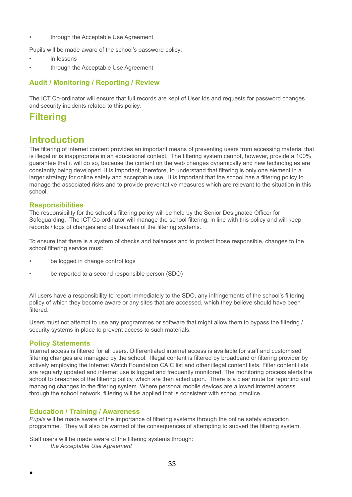through the Acceptable Use Agreement

Pupils will be made aware of the school's password policy:

- in lessons
- through the Acceptable Use Agreement

### **Audit / Monitoring / Reporting / Review**

The ICT Co-ordinator will ensure that full records are kept of User Ids and requests for password changes and security incidents related to this policy.

# **Filtering**

### **Introduction**

The filtering of internet content provides an important means of preventing users from accessing material that is illegal or is inappropriate in an educational context. The filtering system cannot, however, provide a 100% guarantee that it will do so, because the content on the web changes dynamically and new technologies are constantly being developed. It is important, therefore, to understand that filtering is only one element in a larger strategy for online safety and acceptable use. It is important that the school has a filtering policy to manage the associated risks and to provide preventative measures which are relevant to the situation in this school.

#### **Responsibilities**

The responsibility for the school's filtering policy will be held by the Senior Designated Officer for Safeguarding. The ICT Co-ordinator will manage the school filtering, in line with this policy and will keep records / logs of changes and of breaches of the filtering systems.

To ensure that there is a system of checks and balances and to protect those responsible, changes to the school filtering service must:

- be logged in change control logs
- be reported to a second responsible person (SDO)

All users have a responsibility to report immediately to the SDO, any infringements of the school's filtering policy of which they become aware or any sites that are accessed, which they believe should have been filtered.

Users must not attempt to use any programmes or software that might allow them to bypass the filtering / security systems in place to prevent access to such materials.

#### **Policy Statements**

●

Internet access is filtered for all users. Differentiated internet access is available for staff and customised filtering changes are managed by the school. Illegal content is filtered by broadband or filtering provider by actively employing the Internet Watch Foundation CAIC list and other illegal content lists. Filter content lists are regularly updated and internet use is logged and frequently monitored. The monitoring process alerts the school to breaches of the filtering policy, which are then acted upon. There is a clear route for reporting and managing changes to the filtering system. Where personal mobile devices are allowed internet access through the school network, filtering will be applied that is consistent with school practice.

### **Education / Training / Awareness**

*Pupils* will be made aware of the importance of filtering systems through the online safety education programme. They will also be warned of the consequences of attempting to subvert the filtering system.

Staff users will be made aware of the filtering systems through:

*• the Acceptable Use Agreement*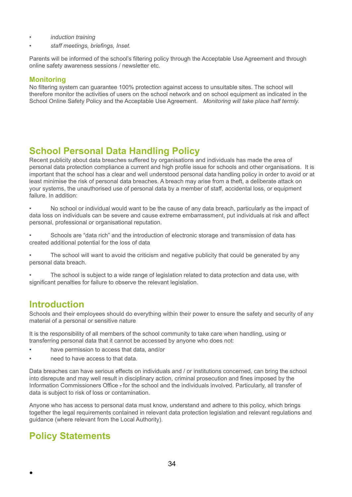- *• induction training*
- *• staff meetings, briefings, Inset.*

Parents will be informed of the school's filtering policy through the Acceptable Use Agreement and through online safety awareness sessions / newsletter etc.

### **Monitoring**

No filtering system can guarantee 100% protection against access to unsuitable sites. The school will therefore monitor the activities of users on the school network and on school equipment as indicated in the School Online Safety Policy and the Acceptable Use Agreement. *Monitoring will take place half termly.*

# **School Personal Data Handling Policy**

Recent publicity about data breaches suffered by organisations and individuals has made the area of personal data protection compliance a current and high profile issue for schools and other organisations. It is important that the school has a clear and well understood personal data handling policy in order to avoid or at least minimise the risk of personal data breaches. A breach may arise from a theft, a deliberate attack on your systems, the unauthorised use of personal data by a member of staff, accidental loss, or equipment failure. In addition:

- No school or individual would want to be the cause of any data breach, particularly as the impact of data loss on individuals can be severe and cause extreme embarrassment, put individuals at risk and affect personal, professional or organisational reputation.
- Schools are "data rich" and the introduction of electronic storage and transmission of data has created additional potential for the loss of data
- The school will want to avoid the criticism and negative publicity that could be generated by any personal data breach.

The school is subject to a wide range of legislation related to data protection and data use, with significant penalties for failure to observe the relevant legislation.

# **Introduction**

Schools and their employees should do everything within their power to ensure the safety and security of any material of a personal or sensitive nature

It is the responsibility of all members of the school community to take care when handling, using or transferring personal data that it cannot be accessed by anyone who does not:

- have permission to access that data, and/or
- need to have access to that data.

Data breaches can have serious effects on individuals and / or institutions concerned, can bring the school into disrepute and may well result in disciplinary action, criminal prosecution and fines imposed by the Information Commissioners Office . for the school and the individuals involved. Particularly, all transfer of data is subject to risk of loss or contamination.

Anyone who has access to personal data must know, understand and adhere to this policy, which brings together the legal requirements contained in relevant data protection legislation and relevant regulations and guidance (where relevant from the Local Authority).

# **Policy Statements**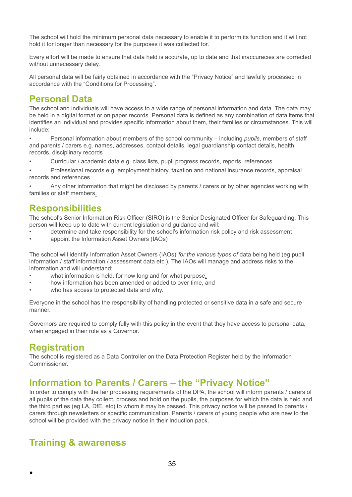The school will hold the minimum personal data necessary to enable it to perform its function and it will not hold it for longer than necessary for the purposes it was collected for.

Every effort will be made to ensure that data held is accurate, up to date and that inaccuracies are corrected without unnecessary delay.

All personal data will be fairly obtained in accordance with the "Privacy Notice" and lawfully processed in accordance with the "Conditions for Processing".

### **Personal Data**

The school and individuals will have access to a wide range of personal information and data. The data may be held in a digital format or on paper records. Personal data is defined as any combination of data items that identifies an individual and provides specific information about them, their families or circumstances. This will include:

• Personal information about members of the school community – including *pupils*, members of staff and parents / carers e.g. names, addresses, contact details, legal guardianship contact details, health records, disciplinary records

- Curricular / academic data e.g. class lists, pupil progress records, reports, references
- Professional records e.g. employment history, taxation and national insurance records, appraisal records and references

Any other information that might be disclosed by parents / carers or by other agencies working with families or staff members.

### **Responsibilities**

The school's Senior Information Risk Officer (SIRO) is the Senior Designated Officer for Safeguarding. This person will keep up to date with current legislation and guidance and will:

- determine and take responsibility for the school's information risk policy and risk assessment
- appoint the Information Asset Owners (IAOs)

The school will identify Information Asset Owners (IAOs) *for the various types of* data being held (eg pupil information / staff information / assessment data etc.). The IAOs will manage and address risks to the information and will understand:

- what information is held, for how long and for what purpose,
- how information has been amended or added to over time, and
- who has access to protected data and why.

Everyone in the school has the responsibility of handling protected or sensitive data in a safe and secure manner.

Governors are required to comply fully with this policy in the event that they have access to personal data, when engaged in their role as a Governor.

# **Registration**

●

The school is registered as a Data Controller on the Data Protection Register held by the Information Commissioner.

# **Information to Parents / Carers – the "Privacy Notice"**

In order to comply with the fair processing requirements of the DPA, the school will inform parents / carers of all pupils of the data they collect, process and hold on the pupils, the purposes for which the data is held and the third parties (eg LA, DfE, etc) to whom it may be passed. This privacy notice will be passed to parents / carers through newsletters or specific communication. Parents / carers of young people who are new to the school will be provided with the privacy notice in their Induction pack.

# **Training & awareness**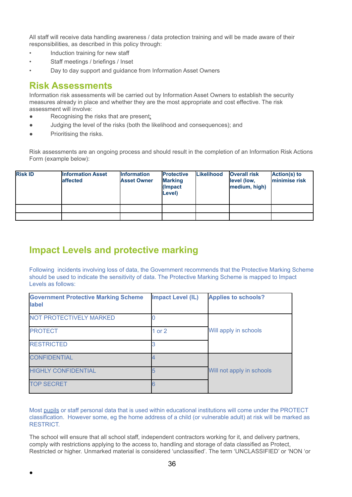All staff will receive data handling awareness / data protection training and will be made aware of their responsibilities, as described in this policy through:

- Induction training for new staff
- Staff meetings / briefings / Inset
- Day to day support and guidance from Information Asset Owners

### **Risk Assessments**

Information risk assessments will be carried out by Information Asset Owners to establish the security measures already in place and whether they are the most appropriate and cost effective. The risk assessment will involve:

- Recognising the risks that are present;
- Judging the level of the risks (both the likelihood and consequences); and
- Prioritising the risks.

●

Risk assessments are an ongoing process and should result in the completion of an Information Risk Actions Form (example below):

| <b>Risk ID</b> | <b>Information Asset</b><br><b>affected</b> | <b>Information</b><br><b>Asset Owner</b> | <b>Protective</b><br><b>Marking</b><br>(Impact<br>Level) | <b>Likelihood</b> | <b>Overall risk</b><br>level (low,<br>medium, high) | Action(s) to<br>minimise risk |
|----------------|---------------------------------------------|------------------------------------------|----------------------------------------------------------|-------------------|-----------------------------------------------------|-------------------------------|
|                |                                             |                                          |                                                          |                   |                                                     |                               |
|                |                                             |                                          |                                                          |                   |                                                     |                               |

# **Impact Levels and protective marking**

Following incidents involving loss of data, the Government recommends that the Protective Marking Scheme should be used to indicate the sensitivity of data. The Protective Marking Scheme is mapped to Impact Levels as follows:

| <b>Government Protective Marking Scheme</b><br>label | <b>Impact Level (IL)</b> | <b>Applies to schools?</b> |
|------------------------------------------------------|--------------------------|----------------------------|
| <b>NOT PROTECTIVELY MARKED</b>                       |                          |                            |
| <b>PROTECT</b>                                       | 1 or $2$                 | Will apply in schools      |
| <b>RESTRICTED</b>                                    |                          |                            |
| <b>CONFIDENTIAL</b>                                  |                          |                            |
| <b>HIGHLY CONFIDENTIAL</b>                           |                          | Will not apply in schools  |
| <b>TOP SECRET</b>                                    |                          |                            |

Most pupils or staff personal data that is used within educational institutions will come under the PROTECT classification. However some, eg the home address of a child (or vulnerable adult) at risk will be marked as RESTRICT.

The school will ensure that all school staff, independent contractors working for it, and delivery partners, comply with restrictions applying to the access to, handling and storage of data classified as Protect, Restricted or higher. Unmarked material is considered 'unclassified'. The term 'UNCLASSIFIED' or 'NON 'or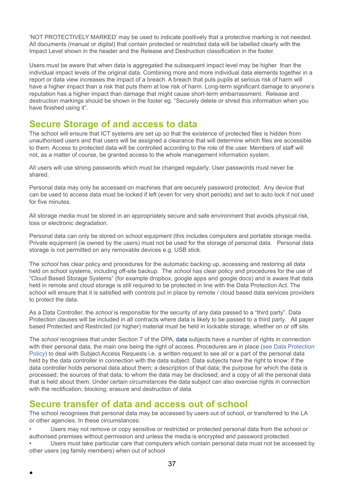'NOT PROTECTIVELY MARKED' may be used to indicate positively that a protective marking is not needed. All documents (manual or digital) that contain protected or restricted data will be labelled clearly with the Impact Level shown in the header and the Release and Destruction classification in the footer.

Users must be aware that when data is aggregated the subsequent impact level may be higher than the individual impact levels of the original data. Combining more and more individual data elements together in a report or data view increases the impact of a breach. A breach that puts pupils at serious risk of harm will have a higher impact than a risk that puts them at low risk of harm. Long-term significant damage to anyone's reputation has a higher impact than damage that might cause short-term embarrassment. Release and destruction markings should be shown in the footer eg. "Securely delete or shred this information when you have finished using it".

### **Secure Storage of and access to data**

The school will ensure that ICT systems are set up so that the existence of protected files is hidden from unauthorised users and that users will be assigned a clearance that will determine which files are accessible to them. Access to protected data will be controlled according to the role of the user. Members of staff will not, as a matter of course, be granted access to the whole management information system.

All users will use strong passwords which must be changed regularly. User passwords must never be shared.

Personal data may only be accessed on machines that are securely password protected. Any device that can be used to access data must be locked if left (even for very short periods) and set to auto lock if not used for five minutes.

All storage media must be stored in an appropriately secure and safe environment that avoids physical risk, loss or electronic degradation.

Personal data can only be stored on school equipment (this includes computers and portable storage media. Private equipment (ie owned by the users) must not be used for the storage of personal data. Personal data storage is not permitted on any removable devices e.g. USB stick.

The *school* has clear policy and procedures for the automatic backing up, accessing and restoring all data held on school systems, including off-site backup. The *school* has clear policy and procedures for the use of "Cloud Based Storage Systems" (for example dropbox, google apps and google docs) and is aware that data held in remote and cloud storage is still required to be protected in line with the Data Protection Act. The school will ensure that it is satisfied with controls put in place by remote / cloud based data services providers to protect the data.

As a Data Controller, the *school* is responsible for the security of any data passed to a "third party". Data Protection clauses will be included in all contracts where data is likely to be passed to a third party. All paper based Protected and Restricted (or higher) material must be held in lockable storage, whether on or off site.

The *school* recognises that under Section 7 of the DPA, data subjects have a number of rights in connection with their personal data, the main one being the right of access. Procedures are in place (see Data Protection Policy) to deal with Subject Access Requests i.e. a written request to see all or a part of the personal data held by the data controller in connection with the data subject. Data subjects have the right to know: if the data controller holds personal data about them; a description of that data; the purpose for which the data is processed; the sources of that data; to whom the data may be disclosed; and a copy of all the personal data that is held about them. Under certain circumstances the data subject can also exercise rights in connection with the rectification; blocking; erasure and destruction of data.

# **Secure transfer of data and access out of school**

●

The school recognises that personal data may be accessed by users out of school, or transferred to the LA or other agencies. In these circumstances:

- Users may not remove or copy sensitive or restricted or protected personal data from the school or authorised premises without permission and unless the media is encrypted and password protected.
- Users must take particular care that computers which contain personal data must not be accessed by other users (eg family members) when out of school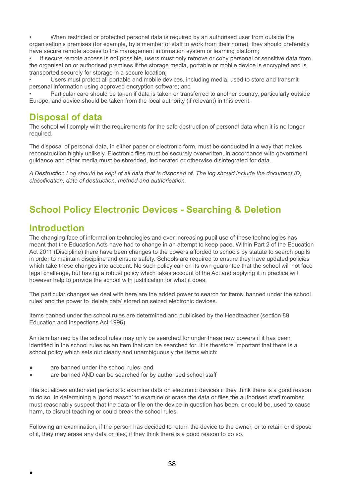• When restricted or protected personal data is required by an authorised user from outside the organisation's premises (for example, by a member of staff to work from their home), they should preferably have secure remote access to the management information system or learning platform;

If secure remote access is not possible, users must only remove or copy personal or sensitive data from the organisation or authorised premises if the storage media, portable or mobile device is encrypted and is transported securely for storage in a secure location;

• Users must protect all portable and mobile devices, including media, used to store and transmit personal information using approved encryption software; and

• Particular care should be taken if data is taken or transferred to another country, particularly outside Europe, and advice should be taken from the local authority (if relevant) in this event.

# **Disposal of data**

The school will comply with the requirements for the safe destruction of personal data when it is no longer required.

The disposal of personal data, in either paper or electronic form, must be conducted in a way that makes reconstruction highly unlikely. Electronic files must be securely overwritten, in accordance with government guidance and other media must be shredded, incinerated or otherwise disintegrated for data.

A Destruction Log should be kept of all data that is disposed of. The log should include the document ID, *classification, date of destruction, method and authorisation.*

# **School Policy Electronic Devices - Searching & Deletion**

### **Introduction**

●

The changing face of information technologies and ever increasing pupil use of these technologies has meant that the Education Acts have had to change in an attempt to keep pace. Within Part 2 of the Education Act 2011 (Discipline) there have been changes to the powers afforded to schools by statute to search pupils in order to maintain discipline and ensure safety. Schools are required to ensure they have updated policies which take these changes into account. No such policy can on its own guarantee that the school will not face legal challenge, but having a robust policy which takes account of the Act and applying it in practice will however help to provide the school with justification for what it does.

The particular changes we deal with here are the added power to search for items 'banned under the school rules' and the power to 'delete data' stored on seized electronic devices.

Items banned under the school rules are determined and publicised by the Headteacher (section 89 Education and Inspections Act 1996).

An item banned by the school rules may only be searched for under these new powers if it has been identified in the school rules as an item that can be searched for. It is therefore important that there is a school policy which sets out clearly and unambiguously the items which:

- are banned under the school rules; and
- are banned AND can be searched for by authorised school staff

The act allows authorised persons to examine data on electronic devices if they think there is a good reason to do so. In determining a 'good reason' to examine or erase the data or files the authorised staff member must reasonably suspect that the data or file on the device in question has been, or could be, used to cause harm, to disrupt teaching or could break the school rules.

Following an examination, if the person has decided to return the device to the owner, or to retain or dispose of it, they may erase any data or files, if they think there is a good reason to do so.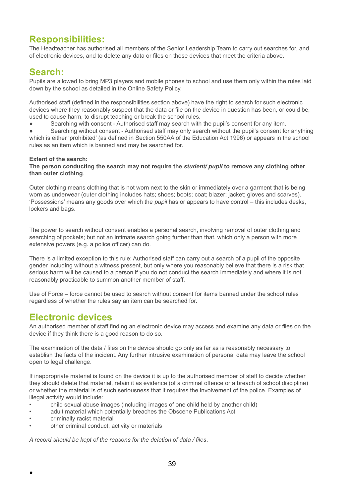# **Responsibilities:**

The Headteacher has authorised all members of the Senior Leadership Team to carry out searches for, and of electronic devices, and to delete any data or files on those devices that meet the criteria above.

# **Search:**

Pupils are allowed to bring MP3 players and mobile phones to school and use them only within the rules laid down by the school as detailed in the Online Safety Policy.

Authorised staff (defined in the responsibilities section above) have the right to search for such electronic devices where they reasonably suspect that the data or file on the device in question has been, or could be, used to cause harm, to disrupt teaching or break the school rules.

Searching with consent - Authorised staff may search with the pupil's consent for any item.

Searching without consent - Authorised staff may only search without the pupil's consent for anything which is either 'prohibited' (as defined in Section 550AA of the Education Act 1996) or appears in the school rules as an item which is banned and may be searched for.

### **Extent of the search:**

#### **The person conducting the search may not require the** *student/ pupil* **to remove any clothing other than outer clothing**.

Outer clothing means clothing that is not worn next to the skin or immediately over a garment that is being worn as underwear (outer clothing includes hats; shoes; boots; coat; blazer; jacket; gloves and scarves). 'Possessions' means any goods over which the *pupil* has or appears to have control – this includes desks, lockers and bags.

The power to search without consent enables a personal search, involving removal of outer clothing and searching of pockets; but not an intimate search going further than that, which only a person with more extensive powers (e.g. a police officer) can do.

There is a limited exception to this rule: Authorised staff can carry out a search of a pupil of the opposite gender including without a witness present, but only where you reasonably believe that there is a risk that serious harm will be caused to a person if you do not conduct the search immediately and where it is not reasonably practicable to summon another member of staff.

Use of Force – force cannot be used to search without consent for items banned under the school rules regardless of whether the rules say an item can be searched for.

# **Electronic devices**

An authorised member of staff finding an electronic device may access and examine any data or files on the device if they think there is a good reason to do so.

The examination of the data / files on the device should go only as far as is reasonably necessary to establish the facts of the incident. Any further intrusive examination of personal data may leave the school open to legal challenge.

If inappropriate material is found on the device it is up to the authorised member of staff to decide whether they should delete that material, retain it as evidence (of a criminal offence or a breach of school discipline) or whether the material is of such seriousness that it requires the involvement of the police. Examples of illegal activity would include:

- child sexual abuse images (including images of one child held by another child)
- adult material which potentially breaches the Obscene Publications Act
- criminally racist material

●

other criminal conduct, activity or materials

*A record should be kept of the reasons for the deletion of data / files.*